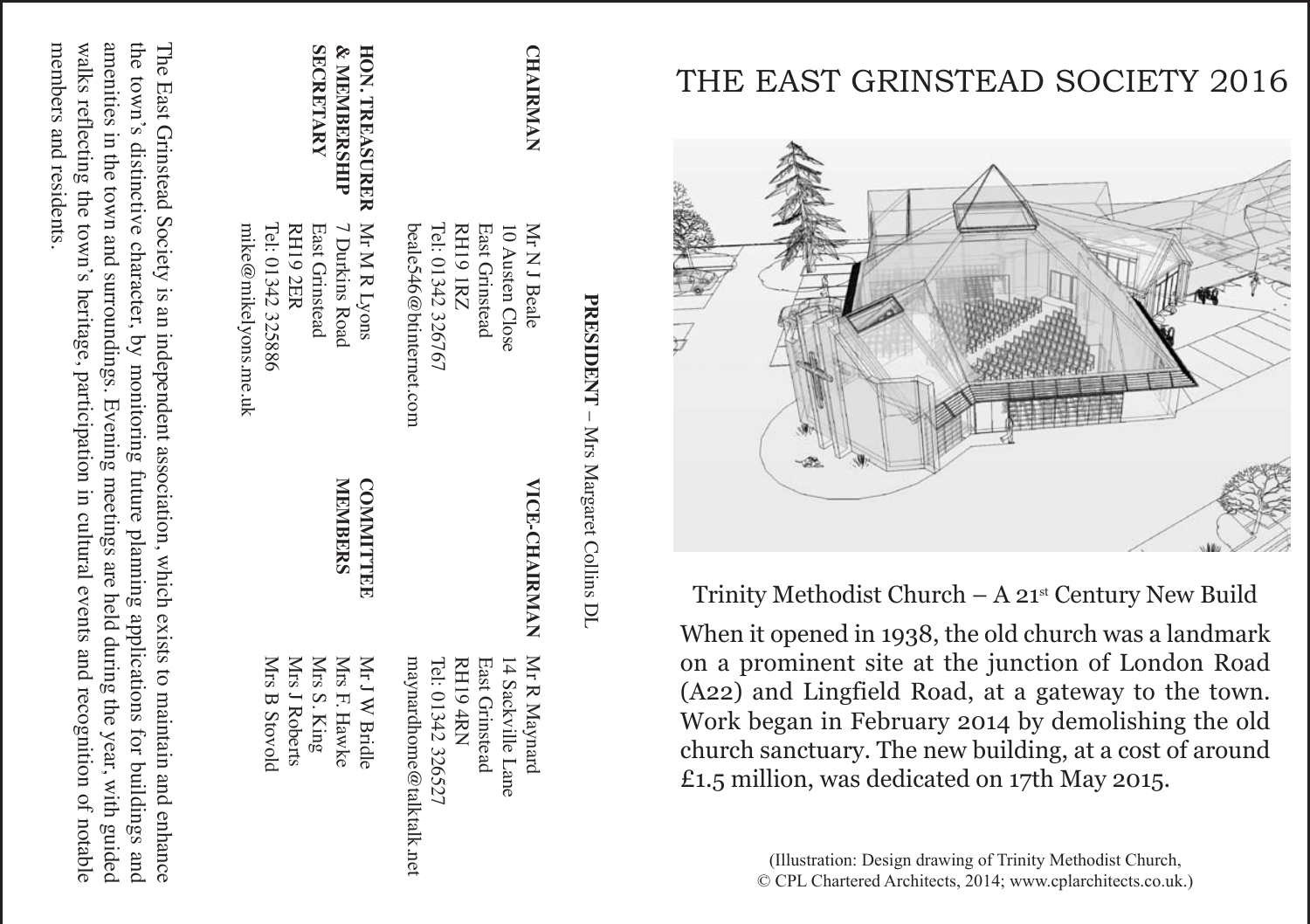## THE EAST GRINSTEAD SOCIETY 2016



Trinity Methodist Church  $- A 21<sup>st</sup>$  Century New Build

When it opened in 1938, the old church was a landmark on a prominent site at the junction of London Road (A22) and Lingfield Road, at a gateway to the town. Work began in February 2014 by demolishing the old church sanctuary. The new building, at a cost of around £1.5 million, was dedicated on 17th May 2015.

> (Illustration: Design drawing of Trinity Methodist Church, © CPL Chartered Architects, 2014; www.cplarchitects.co.uk.)

| M <sub>rs</sub>     |  |
|---------------------|--|
| Targaret Couring DL |  |
|                     |  |
|                     |  |

| <b>CHAIRMAN</b>             | Mr N J Beale<br>10 Austen Close | <b>VICE-CHAIRMAN</b> | Mr R Maynard<br>14 Sackville Lane |
|-----------------------------|---------------------------------|----------------------|-----------------------------------|
|                             | East Grinstead                  |                      | East Grinstead                    |
|                             | <b>RH19 1RZ</b>                 |                      | <b>RH19 4RN</b>                   |
|                             | Tel: 01342 326767               |                      | Tel: 01342 326527                 |
|                             | beale.346@btinternet.com        |                      | maynardhome@talktalk.net          |
| HON. TREASURER Mr M R Lyons |                                 | <b>COMMITTEE</b>     | Mr J W Bridle                     |
| & MEMBERSHIP                | 7 Durkins Road                  | <b>MEMBERS</b>       | Mrs F. Hawke                      |
| <b>SECRETARY</b>            | East Grinstead                  |                      | $MrsS.$ $King$                    |
|                             | <b>RH19 2ER</b>                 |                      | Mrs J Roberts                     |
|                             | Tel: 01342 325886               |                      | Mrs B Stovold                     |
|                             | mike@mikelyons.me.uk            |                      |                                   |

The East Grinstead Society is an independent association, which exists to maintain and enhance the town's distinctive character,  $\mathrm{s}$ monitoring future planning applications for buildings and amenities in the town and surroundings. Evening meetings are held during the year, with guided walks reflecting the town's heritage, participation in cultural events and recognition q notable members members and residents residents.